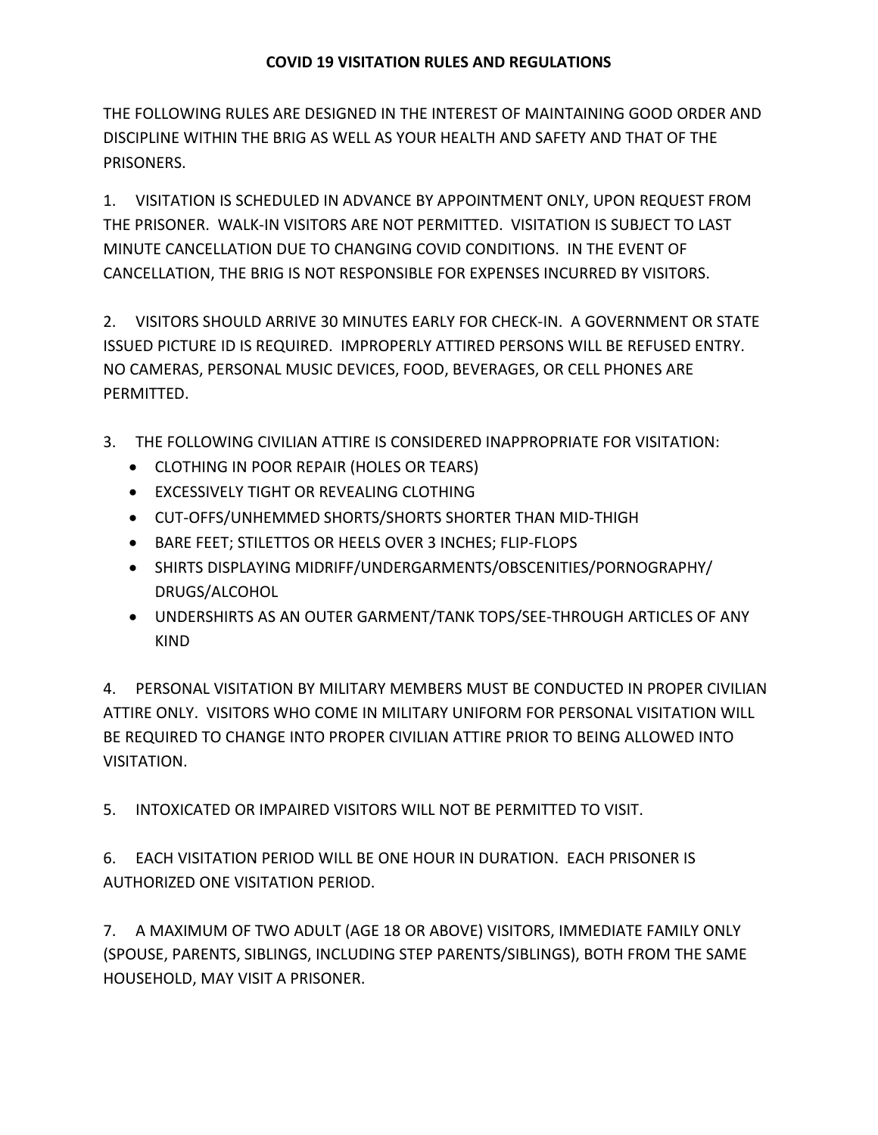THE FOLLOWING RULES ARE DESIGNED IN THE INTEREST OF MAINTAINING GOOD ORDER AND DISCIPLINE WITHIN THE BRIG AS WELL AS YOUR HEALTH AND SAFETY AND THAT OF THE PRISONERS.

1. VISITATION IS SCHEDULED IN ADVANCE BY APPOINTMENT ONLY, UPON REQUEST FROM THE PRISONER. WALK-IN VISITORS ARE NOT PERMITTED. VISITATION IS SUBJECT TO LAST MINUTE CANCELLATION DUE TO CHANGING COVID CONDITIONS. IN THE EVENT OF CANCELLATION, THE BRIG IS NOT RESPONSIBLE FOR EXPENSES INCURRED BY VISITORS.

2. VISITORS SHOULD ARRIVE 30 MINUTES EARLY FOR CHECK-IN. A GOVERNMENT OR STATE ISSUED PICTURE ID IS REQUIRED. IMPROPERLY ATTIRED PERSONS WILL BE REFUSED ENTRY. NO CAMERAS, PERSONAL MUSIC DEVICES, FOOD, BEVERAGES, OR CELL PHONES ARE PERMITTED.

- 3. THE FOLLOWING CIVILIAN ATTIRE IS CONSIDERED INAPPROPRIATE FOR VISITATION:
	- CLOTHING IN POOR REPAIR (HOLES OR TEARS)
	- EXCESSIVELY TIGHT OR REVEALING CLOTHING
	- CUT-OFFS/UNHEMMED SHORTS/SHORTS SHORTER THAN MID-THIGH
	- BARE FEET; STILETTOS OR HEELS OVER 3 INCHES; FLIP-FLOPS
	- SHIRTS DISPLAYING MIDRIFF/UNDERGARMENTS/OBSCENITIES/PORNOGRAPHY/ DRUGS/ALCOHOL
	- UNDERSHIRTS AS AN OUTER GARMENT/TANK TOPS/SEE-THROUGH ARTICLES OF ANY KIND

4. PERSONAL VISITATION BY MILITARY MEMBERS MUST BE CONDUCTED IN PROPER CIVILIAN ATTIRE ONLY. VISITORS WHO COME IN MILITARY UNIFORM FOR PERSONAL VISITATION WILL BE REQUIRED TO CHANGE INTO PROPER CIVILIAN ATTIRE PRIOR TO BEING ALLOWED INTO VISITATION.

5. INTOXICATED OR IMPAIRED VISITORS WILL NOT BE PERMITTED TO VISIT.

6. EACH VISITATION PERIOD WILL BE ONE HOUR IN DURATION. EACH PRISONER IS AUTHORIZED ONE VISITATION PERIOD.

7. A MAXIMUM OF TWO ADULT (AGE 18 OR ABOVE) VISITORS, IMMEDIATE FAMILY ONLY (SPOUSE, PARENTS, SIBLINGS, INCLUDING STEP PARENTS/SIBLINGS), BOTH FROM THE SAME HOUSEHOLD, MAY VISIT A PRISONER.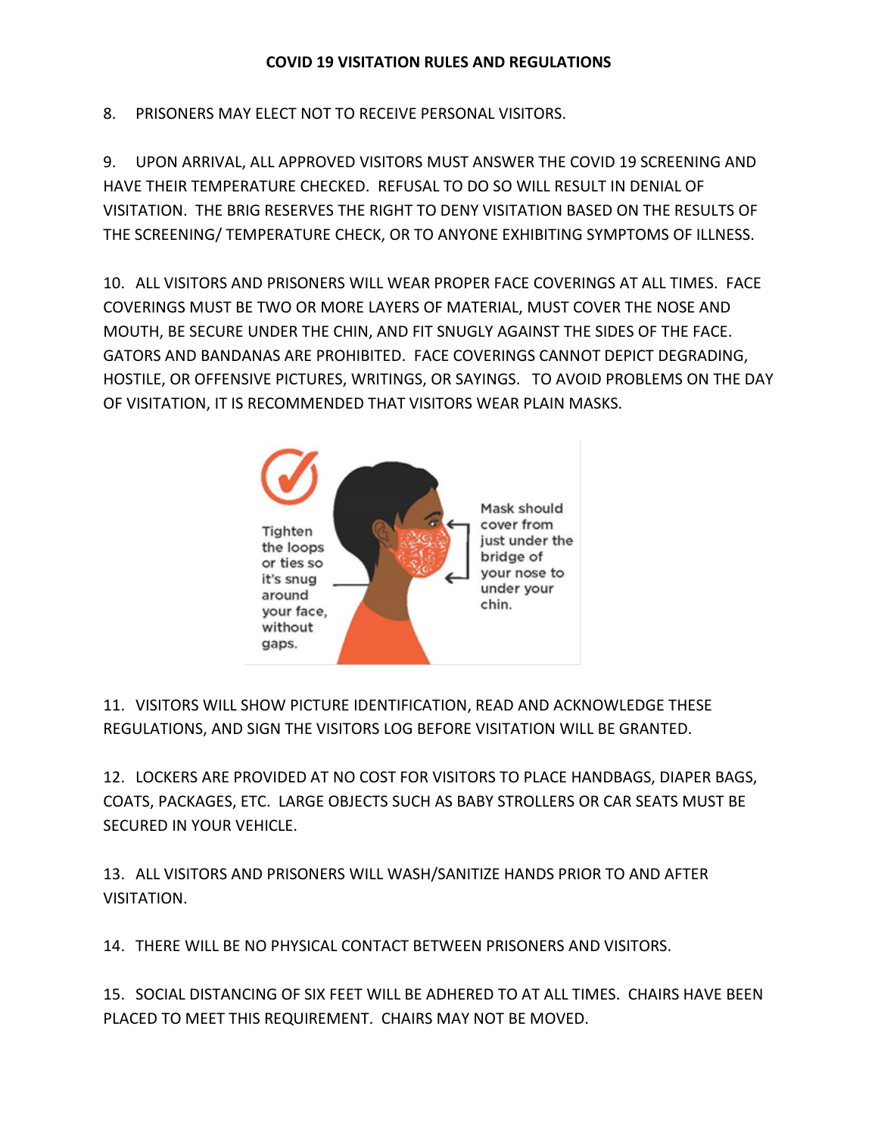## **COVID 19 VISITATION RULES AND REGULATIONS**

8. PRISONERS MAY ELECT NOT TO RECEIVE PERSONAL VISITORS.

9. UPON ARRIVAL, ALL APPROVED VISITORS MUST ANSWER THE COVID 19 SCREENING AND HAVE THEIR TEMPERATURE CHECKED. REFUSAL TO DO SO WILL RESULT IN DENIAL OF VISITATION. THE BRIG RESERVES THE RIGHT TO DENY VISITATION BASED ON THE RESULTS OF THE SCREENING/ TEMPERATURE CHECK, OR TO ANYONE EXHIBITING SYMPTOMS OF ILLNESS.

10. ALL VISITORS AND PRISONERS WILL WEAR PROPER FACE COVERINGS AT ALL TIMES. FACE COVERINGS MUST BE TWO OR MORE LAYERS OF MATERIAL, MUST COVER THE NOSE AND MOUTH, BE SECURE UNDER THE CHIN, AND FIT SNUGLY AGAINST THE SIDES OF THE FACE. GATORS AND BANDANAS ARE PROHIBITED. FACE COVERINGS CANNOT DEPICT DEGRADING, HOSTILE, OR OFFENSIVE PICTURES, WRITINGS, OR SAYINGS. TO AVOID PROBLEMS ON THE DAY OF VISITATION, IT IS RECOMMENDED THAT VISITORS WEAR PLAIN MASKS.



11. VISITORS WILL SHOW PICTURE IDENTIFICATION, READ AND ACKNOWLEDGE THESE REGULATIONS, AND SIGN THE VISITORS LOG BEFORE VISITATION WILL BE GRANTED.

12. LOCKERS ARE PROVIDED AT NO COST FOR VISITORS TO PLACE HANDBAGS, DIAPER BAGS, COATS, PACKAGES, ETC. LARGE OBJECTS SUCH AS BABY STROLLERS OR CAR SEATS MUST BE SECURED IN YOUR VEHICLE.

13. ALL VISITORS AND PRISONERS WILL WASH/SANITIZE HANDS PRIOR TO AND AFTER VISITATION.

14. THERE WILL BE NO PHYSICAL CONTACT BETWEEN PRISONERS AND VISITORS.

15. SOCIAL DISTANCING OF SIX FEET WILL BE ADHERED TO AT ALL TIMES. CHAIRS HAVE BEEN PLACED TO MEET THIS REQUIREMENT. CHAIRS MAY NOT BE MOVED.